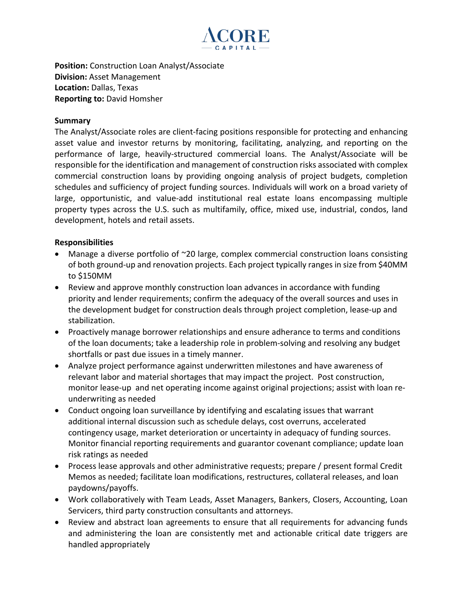

**Position:** Construction Loan Analyst/Associate **Division:** Asset Management **Location:** Dallas, Texas **Reporting to:** David Homsher

## **Summary**

The Analyst/Associate roles are client-facing positions responsible for protecting and enhancing asset value and investor returns by monitoring, facilitating, analyzing, and reporting on the performance of large, heavily-structured commercial loans. The Analyst/Associate will be responsible for the identification and management of construction risks associated with complex commercial construction loans by providing ongoing analysis of project budgets, completion schedules and sufficiency of project funding sources. Individuals will work on a broad variety of large, opportunistic, and value-add institutional real estate loans encompassing multiple property types across the U.S. such as multifamily, office, mixed use, industrial, condos, land development, hotels and retail assets.

## **Responsibilities**

- Manage a diverse portfolio of ~20 large, complex commercial construction loans consisting of both ground-up and renovation projects. Each project typically ranges in size from \$40MM to \$150MM
- Review and approve monthly construction loan advances in accordance with funding priority and lender requirements; confirm the adequacy of the overall sources and uses in the development budget for construction deals through project completion, lease-up and stabilization.
- Proactively manage borrower relationships and ensure adherance to terms and conditions of the loan documents; take a leadership role in problem-solving and resolving any budget shortfalls or past due issues in a timely manner.
- Analyze project performance against underwritten milestones and have awareness of relevant labor and material shortages that may impact the project. Post construction, monitor lease-up and net operating income against original projections; assist with loan reunderwriting as needed
- Conduct ongoing loan surveillance by identifying and escalating issues that warrant additional internal discussion such as schedule delays, cost overruns, accelerated contingency usage, market deterioration or uncertainty in adequacy of funding sources. Monitor financial reporting requirements and guarantor covenant compliance; update loan risk ratings as needed
- Process lease approvals and other administrative requests; prepare / present formal Credit Memos as needed; facilitate loan modifications, restructures, collateral releases, and loan paydowns/payoffs.
- Work collaboratively with Team Leads, Asset Managers, Bankers, Closers, Accounting, Loan Servicers, third party construction consultants and attorneys.
- Review and abstract loan agreements to ensure that all requirements for advancing funds and administering the loan are consistently met and actionable critical date triggers are handled appropriately